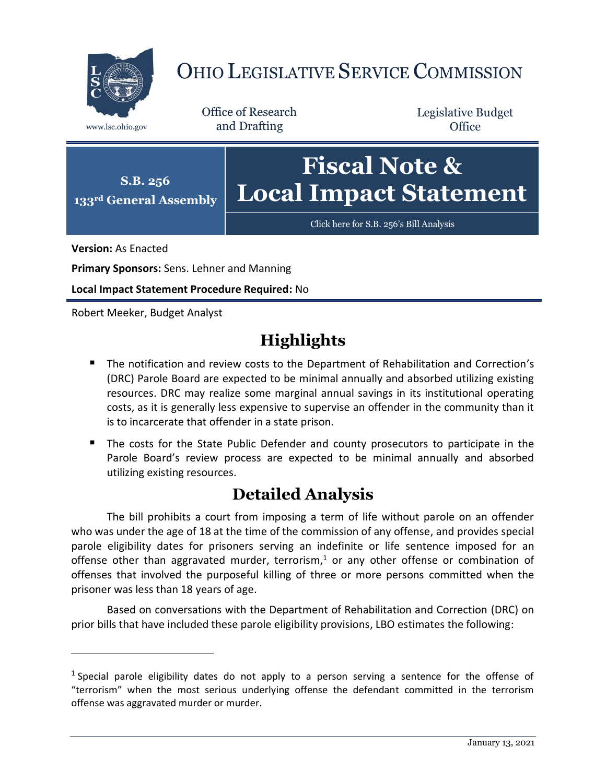

## OHIO LEGISLATIVE SERVICE COMMISSION

Office of Research www.lsc.ohio.gov and Drafting

Legislative Budget **Office** 



**Version:** As Enacted

 $\overline{a}$ 

**Primary Sponsors:** Sens. Lehner and Manning

**Local Impact Statement Procedure Required:** No

Robert Meeker, Budget Analyst

## **Highlights**

- **The notification and review costs to the Department of Rehabilitation and Correction's** (DRC) Parole Board are expected to be minimal annually and absorbed utilizing existing resources. DRC may realize some marginal annual savings in its institutional operating costs, as it is generally less expensive to supervise an offender in the community than it is to incarcerate that offender in a state prison.
- The costs for the State Public Defender and county prosecutors to participate in the Parole Board's review process are expected to be minimal annually and absorbed utilizing existing resources.

## **Detailed Analysis**

The bill prohibits a court from imposing a term of life without parole on an offender who was under the age of 18 at the time of the commission of any offense, and provides special parole eligibility dates for prisoners serving an indefinite or life sentence imposed for an offense other than aggravated murder, terrorism, <sup>1</sup> or any other offense or combination of offenses that involved the purposeful killing of three or more persons committed when the prisoner was less than 18 years of age.

Based on conversations with the Department of Rehabilitation and Correction (DRC) on prior bills that have included these parole eligibility provisions, LBO estimates the following:

<sup>&</sup>lt;sup>1</sup> Special parole eligibility dates do not apply to a person serving a sentence for the offense of "terrorism" when the most serious underlying offense the defendant committed in the terrorism offense was aggravated murder or murder.